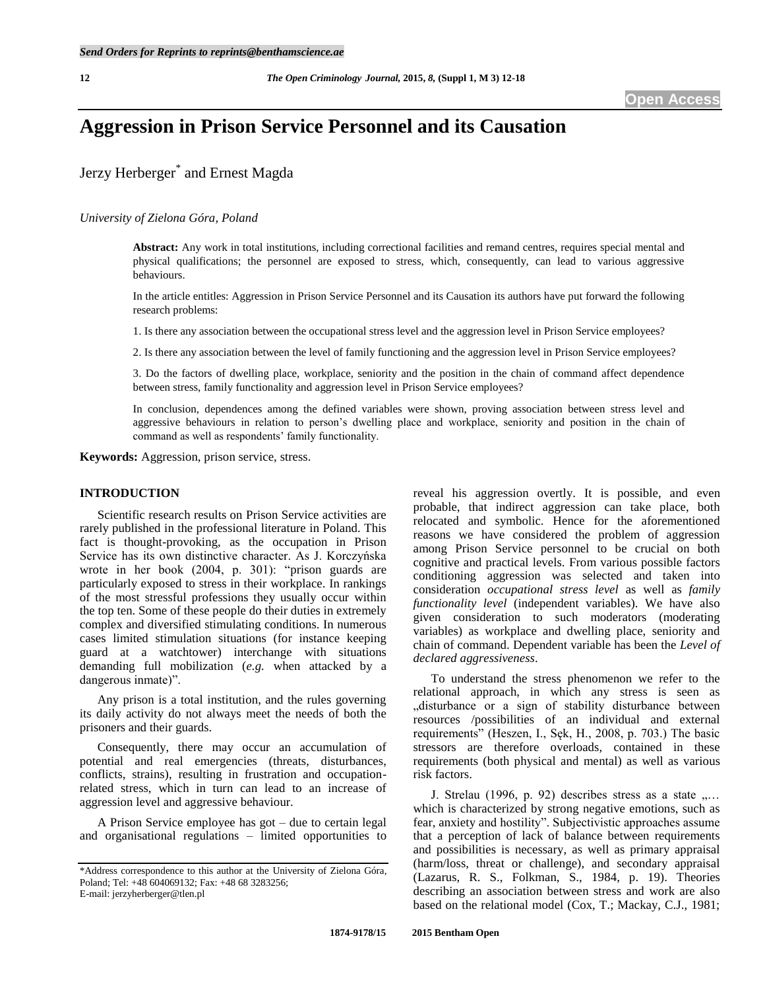# **Aggression in Prison Service Personnel and its Causation**

## Jerzy Herberger\* and Ernest Magda

#### *University of Zielona Góra, Poland*

**Abstract:** Any work in total institutions, including correctional facilities and remand centres, requires special mental and physical qualifications; the personnel are exposed to stress, which, consequently, can lead to various aggressive behaviours.

In the article entitles: Aggression in Prison Service Personnel and its Causation its authors have put forward the following research problems:

1. Is there any association between the occupational stress level and the aggression level in Prison Service employees?

2. Is there any association between the level of family functioning and the aggression level in Prison Service employees?

3. Do the factors of dwelling place, workplace, seniority and the position in the chain of command affect dependence between stress, family functionality and aggression level in Prison Service employees?

In conclusion, dependences among the defined variables were shown, proving association between stress level and aggressive behaviours in relation to person's dwelling place and workplace, seniority and position in the chain of command as well as respondents' family functionality.

**Keywords:** Aggression, prison service, stress.

#### **INTRODUCTION**

Scientific research results on Prison Service activities are rarely published in the professional literature in Poland. This fact is thought-provoking, as the occupation in Prison Service has its own distinctive character. As J. Korczyńska wrote in her book (2004, p. 301): "prison guards are particularly exposed to stress in their workplace. In rankings of the most stressful professions they usually occur within the top ten. Some of these people do their duties in extremely complex and diversified stimulating conditions. In numerous cases limited stimulation situations (for instance keeping guard at a watchtower) interchange with situations demanding full mobilization (*e.g.* when attacked by a dangerous inmate)".

Any prison is a total institution, and the rules governing its daily activity do not always meet the needs of both the prisoners and their guards.

Consequently, there may occur an accumulation of potential and real emergencies (threats, disturbances, conflicts, strains), resulting in frustration and occupationrelated stress, which in turn can lead to an increase of aggression level and aggressive behaviour.

A Prison Service employee has got – due to certain legal and organisational regulations – limited opportunities to

reveal his aggression overtly. It is possible, and even probable, that indirect aggression can take place, both relocated and symbolic. Hence for the aforementioned reasons we have considered the problem of aggression among Prison Service personnel to be crucial on both cognitive and practical levels. From various possible factors conditioning aggression was selected and taken into consideration *occupational stress level* as well as *family functionality level* (independent variables). We have also given consideration to such moderators (moderating variables) as workplace and dwelling place, seniority and chain of command. Dependent variable has been the *Level of declared aggressiveness*.

To understand the stress phenomenon we refer to the relational approach, in which any stress is seen as "disturbance or a sign of stability disturbance between resources /possibilities of an individual and external requirements" (Heszen, I., Sęk, H., 2008, p. 703.) The basic stressors are therefore overloads, contained in these requirements (both physical and mental) as well as various risk factors.

J. Strelau (1996, p. 92) describes stress as a state  $\ldots$ which is characterized by strong negative emotions, such as fear, anxiety and hostility". Subjectivistic approaches assume that a perception of lack of balance between requirements and possibilities is necessary, as well as primary appraisal (harm/loss, threat or challenge), and secondary appraisal (Lazarus, R. S., Folkman, S., 1984, p. 19). Theories describing an association between stress and work are also based on the relational model (Cox, T.; Mackay, C.J., 1981;

<sup>\*</sup>Address correspondence to this author at the University of Zielona Góra, Poland; Tel: +48 604069132; Fax: +48 68 3283256; E-mail: jerzyherberger@tlen.pl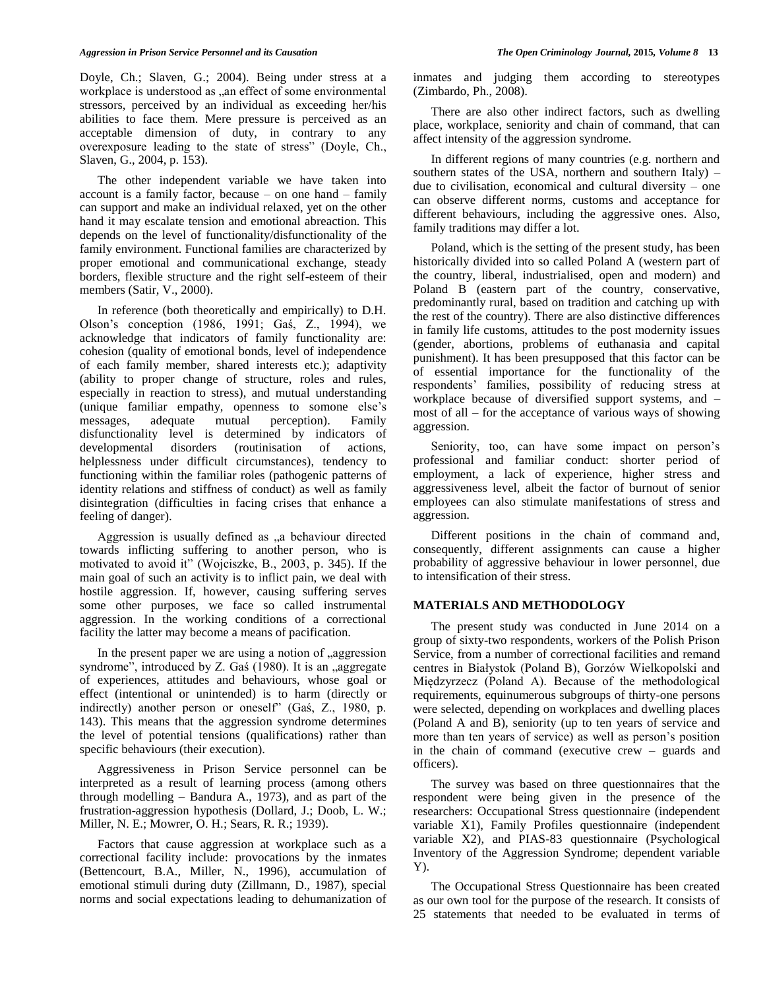Doyle, Ch.; Slaven, G.; 2004). Being under stress at a workplace is understood as , an effect of some environmental stressors, perceived by an individual as exceeding her/his abilities to face them. Mere pressure is perceived as an acceptable dimension of duty, in contrary to any overexposure leading to the state of stress" (Doyle, Ch., Slaven, G., 2004, p. 153).

The other independent variable we have taken into account is a family factor, because – on one hand – family can support and make an individual relaxed, yet on the other hand it may escalate tension and emotional abreaction. This depends on the level of functionality/disfunctionality of the family environment. Functional families are characterized by proper emotional and communicational exchange, steady borders, flexible structure and the right self-esteem of their members (Satir, V., 2000).

In reference (both theoretically and empirically) to D.H. Olson's conception (1986, 1991; Gaś, Z., 1994), we acknowledge that indicators of family functionality are: cohesion (quality of emotional bonds, level of independence of each family member, shared interests etc.); adaptivity (ability to proper change of structure, roles and rules, especially in reaction to stress), and mutual understanding (unique familiar empathy, openness to somone else's messages, adequate mutual perception). Family disfunctionality level is determined by indicators of developmental disorders (routinisation of actions, helplessness under difficult circumstances), tendency to functioning within the familiar roles (pathogenic patterns of identity relations and stiffness of conduct) as well as family disintegration (difficulties in facing crises that enhance a feeling of danger).

Aggression is usually defined as "a behaviour directed towards inflicting suffering to another person, who is motivated to avoid it" (Wojciszke, B., 2003, p. 345). If the main goal of such an activity is to inflict pain, we deal with hostile aggression. If, however, causing suffering serves some other purposes, we face so called instrumental aggression. In the working conditions of a correctional facility the latter may become a means of pacification.

In the present paper we are using a notion of , aggression syndrome", introduced by Z. Gaś (1980). It is an "aggregate of experiences, attitudes and behaviours, whose goal or effect (intentional or unintended) is to harm (directly or indirectly) another person or oneself" (Gaś, Z., 1980, p. 143). This means that the aggression syndrome determines the level of potential tensions (qualifications) rather than specific behaviours (their execution).

Aggressiveness in Prison Service personnel can be interpreted as a result of learning process (among others through modelling – Bandura A., 1973), and as part of the frustration-aggression hypothesis (Dollard, J.; Doob, L. W.; Miller, N. E.; Mowrer, O. H.; Sears, R. R.; 1939).

Factors that cause aggression at workplace such as a correctional facility include: provocations by the inmates (Bettencourt, B.A., Miller, N., 1996), accumulation of emotional stimuli during duty (Zillmann, D., 1987), special norms and social expectations leading to dehumanization of

inmates and judging them according to stereotypes (Zimbardo, Ph., 2008).

There are also other indirect factors, such as dwelling place, workplace, seniority and chain of command, that can affect intensity of the aggression syndrome.

In different regions of many countries (e.g. northern and southern states of the USA, northern and southern Italy) – due to civilisation, economical and cultural diversity – one can observe different norms, customs and acceptance for different behaviours, including the aggressive ones. Also, family traditions may differ a lot.

Poland, which is the setting of the present study, has been historically divided into so called Poland A (western part of the country, liberal, industrialised, open and modern) and Poland B (eastern part of the country, conservative, predominantly rural, based on tradition and catching up with the rest of the country). There are also distinctive differences in family life customs, attitudes to the post modernity issues (gender, abortions, problems of euthanasia and capital punishment). It has been presupposed that this factor can be of essential importance for the functionality of the respondents' families, possibility of reducing stress at workplace because of diversified support systems, and – most of all – for the acceptance of various ways of showing aggression.

Seniority, too, can have some impact on person's professional and familiar conduct: shorter period of employment, a lack of experience, higher stress and aggressiveness level, albeit the factor of burnout of senior employees can also stimulate manifestations of stress and aggression.

Different positions in the chain of command and, consequently, different assignments can cause a higher probability of aggressive behaviour in lower personnel, due to intensification of their stress.

### **MATERIALS AND METHODOLOGY**

The present study was conducted in June 2014 on a group of sixty-two respondents, workers of the Polish Prison Service, from a number of correctional facilities and remand centres in Białystok (Poland B), Gorzów Wielkopolski and Międzyrzecz (Poland A). Because of the methodological requirements, equinumerous subgroups of thirty-one persons were selected, depending on workplaces and dwelling places (Poland A and B), seniority (up to ten years of service and more than ten years of service) as well as person's position in the chain of command (executive crew – guards and officers).

The survey was based on three questionnaires that the respondent were being given in the presence of the researchers: Occupational Stress questionnaire (independent variable X1), Family Profiles questionnaire (independent variable X2), and PIAS-83 questionnaire (Psychological Inventory of the Aggression Syndrome; dependent variable Y).

The Occupational Stress Questionnaire has been created as our own tool for the purpose of the research. It consists of 25 statements that needed to be evaluated in terms of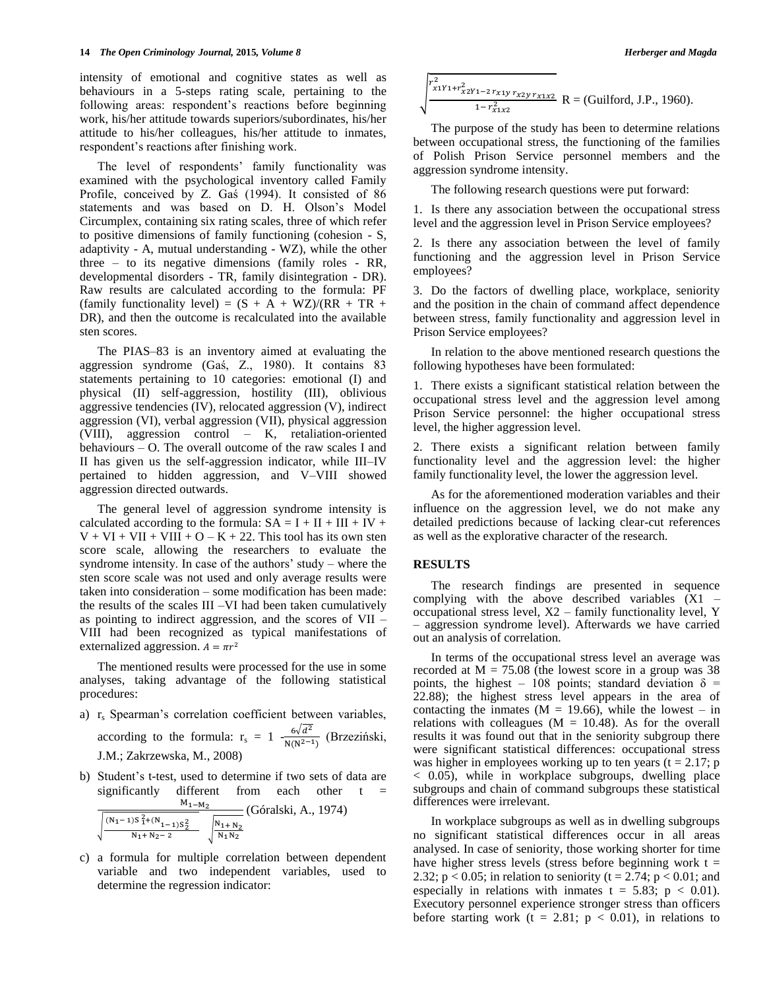intensity of emotional and cognitive states as well as behaviours in a 5-steps rating scale, pertaining to the following areas: respondent's reactions before beginning work, his/her attitude towards superiors/subordinates, his/her attitude to his/her colleagues, his/her attitude to inmates, respondent's reactions after finishing work.

The level of respondents' family functionality was examined with the psychological inventory called Family Profile, conceived by Z. Gaś (1994). It consisted of 86 statements and was based on D. H. Olson's Model Circumplex, containing six rating scales, three of which refer to positive dimensions of family functioning (cohesion - S, adaptivity - A, mutual understanding - WZ), while the other three – to its negative dimensions (family roles - RR, developmental disorders - TR, family disintegration - DR). Raw results are calculated according to the formula: PF (family functionality level) =  $(S + A + WZ)/(RR + TR +$ DR), and then the outcome is recalculated into the available sten scores.

The PIAS–83 is an inventory aimed at evaluating the aggression syndrome (Gaś, Z., 1980). It contains 83 statements pertaining to 10 categories: emotional (I) and physical (II) self-aggression, hostility (III), oblivious aggressive tendencies (IV), relocated aggression (V), indirect aggression (VI), verbal aggression (VII), physical aggression (VIII), aggression control – K, retaliation-oriented behaviours – O. The overall outcome of the raw scales I and II has given us the self-aggression indicator, while III–IV pertained to hidden aggression, and V–VIII showed aggression directed outwards.

The general level of aggression syndrome intensity is calculated according to the formula:  $SA = I + II + III + IV +$  $V + VI + VII + VIII + O - K + 22$ . This tool has its own sten score scale, allowing the researchers to evaluate the syndrome intensity. In case of the authors' study – where the sten score scale was not used and only average results were taken into consideration – some modification has been made: the results of the scales III –VI had been taken cumulatively as pointing to indirect aggression, and the scores of VII – VIII had been recognized as typical manifestations of externalized aggression.  $A = \pi r^2$ 

The mentioned results were processed for the use in some analyses, taking advantage of the following statistical procedures:

- a)  $r_s$  Spearman's correlation coefficient between variables, according to the formula:  $r_s = 1 - \frac{6\sqrt{d}}{N(N^2 - 1)}$  $\frac{6\sqrt{u}}{N(N^{2}-1)}$  (Brzeziński, J.M.; Zakrzewska, M., 2008)
- b) Student's t-test, used to determine if two sets of data are significantly different from each other  $t =$  $M_{1-M<sub>2</sub>}$  $(N_1-1)S_1^2+(N_1-1)S_2$  $\frac{15 \cdot 1^{+(N_1-1)S_2^2}}{N_1 + N_2 - 2}$ N (Góralski, A., 1974)
- c) a formula for multiple correlation between dependent variable and two independent variables, used to determine the regression indicator:

$$
\sqrt{\sum_{x_1y_1+r_{x2}y_1-2}^{r_{x1}y_1+r_{x2}y_1+r_{x2}y_1+r_{x1}x_2} R}
$$
 = (Guilford, J.P., 1960).

The purpose of the study has been to determine relations between occupational stress, the functioning of the families of Polish Prison Service personnel members and the aggression syndrome intensity.

The following research questions were put forward:

1. Is there any association between the occupational stress level and the aggression level in Prison Service employees?

2. Is there any association between the level of family functioning and the aggression level in Prison Service employees?

3. Do the factors of dwelling place, workplace, seniority and the position in the chain of command affect dependence between stress, family functionality and aggression level in Prison Service employees?

In relation to the above mentioned research questions the following hypotheses have been formulated:

1. There exists a significant statistical relation between the occupational stress level and the aggression level among Prison Service personnel: the higher occupational stress level, the higher aggression level.

2. There exists a significant relation between family functionality level and the aggression level: the higher family functionality level, the lower the aggression level.

As for the aforementioned moderation variables and their influence on the aggression level, we do not make any detailed predictions because of lacking clear-cut references as well as the explorative character of the research.

#### **RESULTS**

The research findings are presented in sequence complying with the above described variables (X1 – occupational stress level, X2 – family functionality level, Y – aggression syndrome level). Afterwards we have carried out an analysis of correlation.

In terms of the occupational stress level an average was recorded at  $M = 75.08$  (the lowest score in a group was 38 points, the highest – 108 points; standard deviation  $\delta$  = 22.88); the highest stress level appears in the area of contacting the inmates ( $M = 19.66$ ), while the lowest – in relations with colleagues ( $M = 10.48$ ). As for the overall results it was found out that in the seniority subgroup there were significant statistical differences: occupational stress was higher in employees working up to ten years  $(t = 2.17; p$ < 0.05), while in workplace subgroups, dwelling place subgroups and chain of command subgroups these statistical differences were irrelevant.

In workplace subgroups as well as in dwelling subgroups no significant statistical differences occur in all areas analysed. In case of seniority, those working shorter for time have higher stress levels (stress before beginning work  $t =$ 2.32;  $p < 0.05$ ; in relation to seniority (t = 2.74;  $p < 0.01$ ; and especially in relations with inmates  $t = 5.83$ ;  $p < 0.01$ ). Executory personnel experience stronger stress than officers before starting work (t = 2.81;  $p < 0.01$ ), in relations to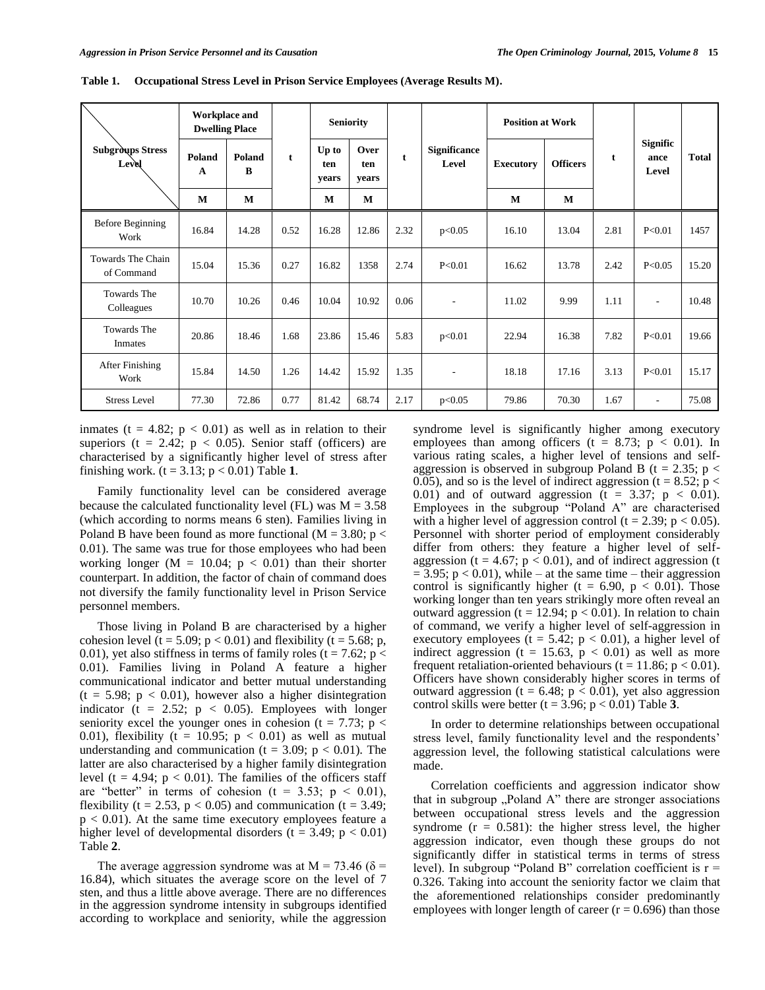|                                  | <b>Workplace and</b><br><b>Dwelling Place</b> |             |             | <b>Seniority</b>      |                      |      |                              | <b>Position at Work</b> |                 |      |                                  |              |
|----------------------------------|-----------------------------------------------|-------------|-------------|-----------------------|----------------------|------|------------------------------|-------------------------|-----------------|------|----------------------------------|--------------|
| <b>Subgroups Stress</b><br>Level | Poland<br>$\mathbf{A}$                        | Poland<br>B | $\mathbf t$ | Up to<br>ten<br>vears | Over<br>ten<br>vears | t    | <b>Significance</b><br>Level | <b>Executory</b>        | <b>Officers</b> | t    | <b>Signific</b><br>ance<br>Level | <b>Total</b> |
|                                  | M                                             | M           |             | M                     | М                    |      |                              | M                       | M               |      |                                  |              |
| Before Beginning<br>Work         | 16.84                                         | 14.28       | 0.52        | 16.28                 | 12.86                | 2.32 | p<0.05                       | 16.10                   | 13.04           | 2.81 | P<0.01                           | 1457         |
| Towards The Chain<br>of Command  | 15.04                                         | 15.36       | 0.27        | 16.82                 | 1358                 | 2.74 | P<0.01                       | 16.62                   | 13.78           | 2.42 | P<0.05                           | 15.20        |
| Towards The<br>Colleagues        | 10.70                                         | 10.26       | 0.46        | 10.04                 | 10.92                | 0.06 |                              | 11.02                   | 9.99            | 1.11 | $\overline{\phantom{a}}$         | 10.48        |
| Towards The<br>Inmates           | 20.86                                         | 18.46       | 1.68        | 23.86                 | 15.46                | 5.83 | p<0.01                       | 22.94                   | 16.38           | 7.82 | P<0.01                           | 19.66        |
| After Finishing<br>Work          | 15.84                                         | 14.50       | 1.26        | 14.42                 | 15.92                | 1.35 | $\overline{\phantom{a}}$     | 18.18                   | 17.16           | 3.13 | P<0.01                           | 15.17        |
| <b>Stress Level</b>              | 77.30                                         | 72.86       | 0.77        | 81.42                 | 68.74                | 2.17 | p<0.05                       | 79.86                   | 70.30           | 1.67 | $\overline{\phantom{a}}$         | 75.08        |

**Table 1. Occupational Stress Level in Prison Service Employees (Average Results M).**

inmates ( $t = 4.82$ ;  $p < 0.01$ ) as well as in relation to their superiors (t = 2.42;  $p < 0.05$ ). Senior staff (officers) are characterised by a significantly higher level of stress after finishing work.  $(t = 3.13; p < 0.01)$  Table 1.

Family functionality level can be considered average because the calculated functionality level (FL) was  $M = 3.58$ (which according to norms means 6 sten). Families living in Poland B have been found as more functional ( $M = 3.80$ ; p < 0.01). The same was true for those employees who had been working longer ( $M = 10.04$ ;  $p < 0.01$ ) than their shorter counterpart. In addition, the factor of chain of command does not diversify the family functionality level in Prison Service personnel members.

Those living in Poland B are characterised by a higher cohesion level (t = 5.09;  $p < 0.01$ ) and flexibility (t = 5.68; p, 0.01), yet also stiffness in terms of family roles ( $t = 7.62$ ;  $p <$ 0.01). Families living in Poland A feature a higher communicational indicator and better mutual understanding  $(t = 5.98; p < 0.01)$ , however also a higher disintegration indicator (t = 2.52;  $p \lt 0.05$ ). Employees with longer seniority excel the younger ones in cohesion (t = 7.73;  $p <$ 0.01), flexibility (t = 10.95;  $p < 0.01$ ) as well as mutual understanding and communication ( $t = 3.09$ ;  $p < 0.01$ ). The latter are also characterised by a higher family disintegration level (t = 4.94;  $p < 0.01$ ). The families of the officers staff are "better" in terms of cohesion ( $t = 3.53$ ;  $p < 0.01$ ), flexibility (t = 2.53,  $p < 0.05$ ) and communication (t = 3.49;  $p < 0.01$ ). At the same time executory employees feature a higher level of developmental disorders ( $t = 3.49$ ;  $p < 0.01$ ) Table **2**.

The average aggression syndrome was at  $M = 73.46$  ( $\delta$  = 16.84), which situates the average score on the level of 7 sten, and thus a little above average. There are no differences in the aggression syndrome intensity in subgroups identified according to workplace and seniority, while the aggression syndrome level is significantly higher among executory employees than among officers ( $t = 8.73$ ;  $p < 0.01$ ). In various rating scales, a higher level of tensions and selfaggression is observed in subgroup Poland B ( $t = 2.35$ ;  $p <$ 0.05), and so is the level of indirect aggression ( $t = 8.52$ ;  $p <$ 0.01) and of outward aggression ( $t = 3.37$ ;  $p < 0.01$ ). Employees in the subgroup "Poland A" are characterised with a higher level of aggression control (t = 2.39;  $p < 0.05$ ). Personnel with shorter period of employment considerably differ from others: they feature a higher level of selfaggression ( $t = 4.67$ ;  $p < 0.01$ ), and of indirect aggression (t  $= 3.95$ ; p  $< 0.01$ ), while – at the same time – their aggression control is significantly higher (t = 6.90,  $p < 0.01$ ). Those working longer than ten years strikingly more often reveal an outward aggression ( $t = 12.94$ ;  $p < 0.01$ ). In relation to chain of command, we verify a higher level of self-aggression in executory employees ( $t = 5.42$ ;  $p < 0.01$ ), a higher level of indirect aggression ( $t = 15.63$ ,  $p < 0.01$ ) as well as more frequent retaliation-oriented behaviours ( $t = 11.86$ ;  $p < 0.01$ ). Officers have shown considerably higher scores in terms of outward aggression (t = 6.48;  $p < 0.01$ ), yet also aggression control skills were better  $(t = 3.96; p < 0.01)$  Table 3.

In order to determine relationships between occupational stress level, family functionality level and the respondents' aggression level, the following statistical calculations were made.

Correlation coefficients and aggression indicator show that in subgroup  $P$ <sub>N</sub>Poland A<sup>3</sup> there are stronger associations between occupational stress levels and the aggression syndrome  $(r = 0.581)$ : the higher stress level, the higher aggression indicator, even though these groups do not significantly differ in statistical terms in terms of stress level). In subgroup "Poland B" correlation coefficient is  $r =$ 0.326. Taking into account the seniority factor we claim that the aforementioned relationships consider predominantly employees with longer length of career  $(r = 0.696)$  than those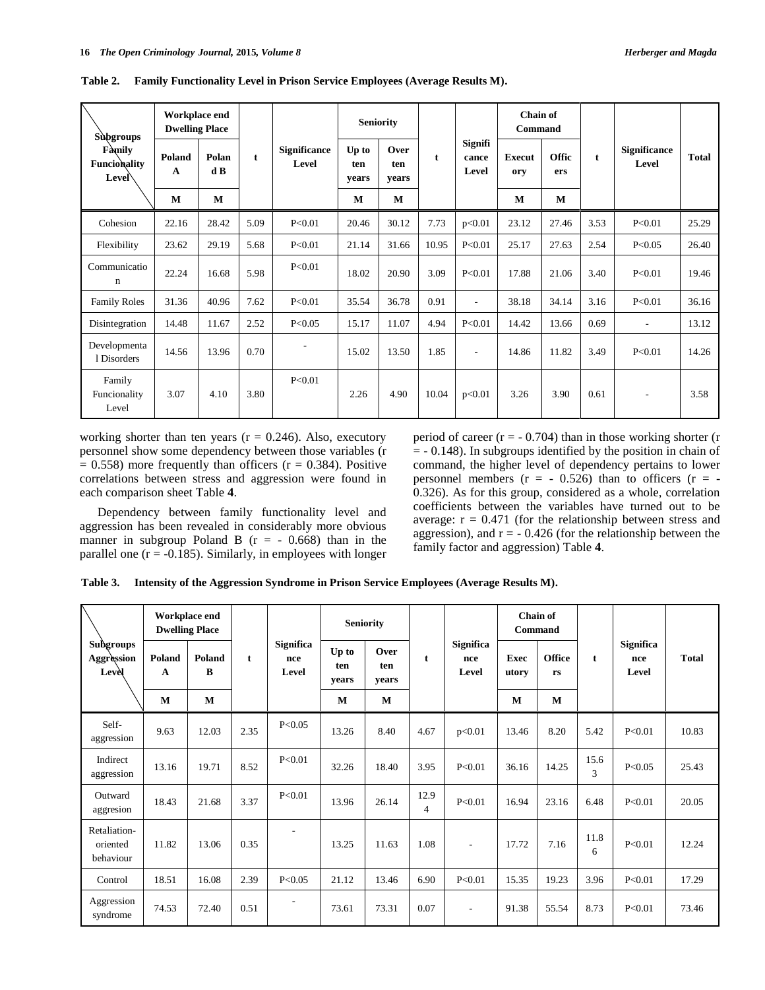| Subgroups<br>Family<br><b>Funcionality</b><br>Level | Workplace end<br><b>Dwelling Place</b> |              |             |                              | <b>Seniority</b>      |                      |       |                                  | Chain of<br>Command  |                     |             |                              |              |
|-----------------------------------------------------|----------------------------------------|--------------|-------------|------------------------------|-----------------------|----------------------|-------|----------------------------------|----------------------|---------------------|-------------|------------------------------|--------------|
|                                                     | Poland<br>$\mathbf{A}$                 | Polan<br>d B | $\mathbf t$ | <b>Significance</b><br>Level | Up to<br>ten<br>vears | Over<br>ten<br>vears | t     | <b>Signifi</b><br>cance<br>Level | <b>Execut</b><br>ory | <b>Offic</b><br>ers | $\mathbf t$ | <b>Significance</b><br>Level | <b>Total</b> |
|                                                     | M                                      | M            |             |                              | M                     | M                    |       |                                  | M                    | M                   |             |                              |              |
| Cohesion                                            | 22.16                                  | 28.42        | 5.09        | P<0.01                       | 20.46                 | 30.12                | 7.73  | p<0.01                           | 23.12                | 27.46               | 3.53        | P<0.01                       | 25.29        |
| Flexibility                                         | 23.62                                  | 29.19        | 5.68        | P<0.01                       | 21.14                 | 31.66                | 10.95 | P<0.01                           | 25.17                | 27.63               | 2.54        | P < 0.05                     | 26.40        |
| Communicatio<br>n                                   | 22.24                                  | 16.68        | 5.98        | P<0.01                       | 18.02                 | 20.90                | 3.09  | P<0.01                           | 17.88                | 21.06               | 3.40        | P<0.01                       | 19.46        |
| <b>Family Roles</b>                                 | 31.36                                  | 40.96        | 7.62        | P<0.01                       | 35.54                 | 36.78                | 0.91  | $\overline{\phantom{a}}$         | 38.18                | 34.14               | 3.16        | P < 0.01                     | 36.16        |
| Disintegration                                      | 14.48                                  | 11.67        | 2.52        | P<0.05                       | 15.17                 | 11.07                | 4.94  | P<0.01                           | 14.42                | 13.66               | 0.69        | $\overline{\phantom{a}}$     | 13.12        |
| Developmenta<br>1 Disorders                         | 14.56                                  | 13.96        | 0.70        |                              | 15.02                 | 13.50                | 1.85  | $\overline{\phantom{a}}$         | 14.86                | 11.82               | 3.49        | P<0.01                       | 14.26        |
| Family<br>Funcionality<br>Level                     | 3.07                                   | 4.10         | 3.80        | P < 0.01                     | 2.26                  | 4.90                 | 10.04 | p<0.01                           | 3.26                 | 3.90                | 0.61        | $\overline{\phantom{a}}$     | 3.58         |

**Table 2. Family Functionality Level in Prison Service Employees (Average Results M).**

working shorter than ten years ( $r = 0.246$ ). Also, executory personnel show some dependency between those variables (r  $= 0.558$ ) more frequently than officers ( $r = 0.384$ ). Positive correlations between stress and aggression were found in each comparison sheet Table **4**.

Dependency between family functionality level and aggression has been revealed in considerably more obvious manner in subgroup Poland B  $(r = -0.668)$  than in the parallel one  $(r = -0.185)$ . Similarly, in employees with longer period of career  $(r = -0.704)$  than in those working shorter (r  $= -0.148$ ). In subgroups identified by the position in chain of command, the higher level of dependency pertains to lower personnel members  $(r = -0.526)$  than to officers  $(r = -1)$ 0.326). As for this group, considered as a whole, correlation coefficients between the variables have turned out to be average:  $r = 0.471$  (for the relationship between stress and aggression), and  $r = -0.426$  (for the relationship between the family factor and aggression) Table **4**.

**Table 3. Intensity of the Aggression Syndrome in Prison Service Employees (Average Results M).**

| Subgroups<br>Aggression<br>Level      | Workplace end<br><b>Dwelling Place</b> |             |              |                                  | <b>Seniority</b>      |                      |           |                                  | <b>Chain of</b><br>Command |                     |              |                                  |              |
|---------------------------------------|----------------------------------------|-------------|--------------|----------------------------------|-----------------------|----------------------|-----------|----------------------------------|----------------------------|---------------------|--------------|----------------------------------|--------------|
|                                       | Poland<br>A                            | Poland<br>B | $\mathbf{t}$ | <b>Significa</b><br>nce<br>Level | Up to<br>ten<br>vears | Over<br>ten<br>vears | t         | <b>Significa</b><br>nce<br>Level | <b>Exec</b><br>utory       | <b>Office</b><br>rs | $\mathbf{t}$ | <b>Significa</b><br>nce<br>Level | <b>Total</b> |
|                                       | M                                      | $\bf{M}$    |              |                                  | M                     | M                    |           |                                  | M                          | M                   |              |                                  |              |
| Self-<br>aggression                   | 9.63                                   | 12.03       | 2.35         | P < 0.05                         | 13.26                 | 8.40                 | 4.67      | p<0.01                           | 13.46                      | 8.20                | 5.42         | P<0.01                           | 10.83        |
| Indirect<br>aggression                | 13.16                                  | 19.71       | 8.52         | P<0.01                           | 32.26                 | 18.40                | 3.95      | P < 0.01                         | 36.16                      | 14.25               | 15.6<br>3    | P<0.05                           | 25.43        |
| Outward<br>aggresion                  | 18.43                                  | 21.68       | 3.37         | P < 0.01                         | 13.96                 | 26.14                | 12.9<br>4 | P < 0.01                         | 16.94                      | 23.16               | 6.48         | P < 0.01                         | 20.05        |
| Retaliation-<br>oriented<br>behaviour | 11.82                                  | 13.06       | 0.35         | ٠                                | 13.25                 | 11.63                | 1.08      |                                  | 17.72                      | 7.16                | 11.8<br>6    | P < 0.01                         | 12.24        |
| Control                               | 18.51                                  | 16.08       | 2.39         | P < 0.05                         | 21.12                 | 13.46                | 6.90      | P<0.01                           | 15.35                      | 19.23               | 3.96         | P<0.01                           | 17.29        |
| Aggression<br>syndrome                | 74.53                                  | 72.40       | 0.51         | ٠                                | 73.61                 | 73.31                | 0.07      |                                  | 91.38                      | 55.54               | 8.73         | P < 0.01                         | 73.46        |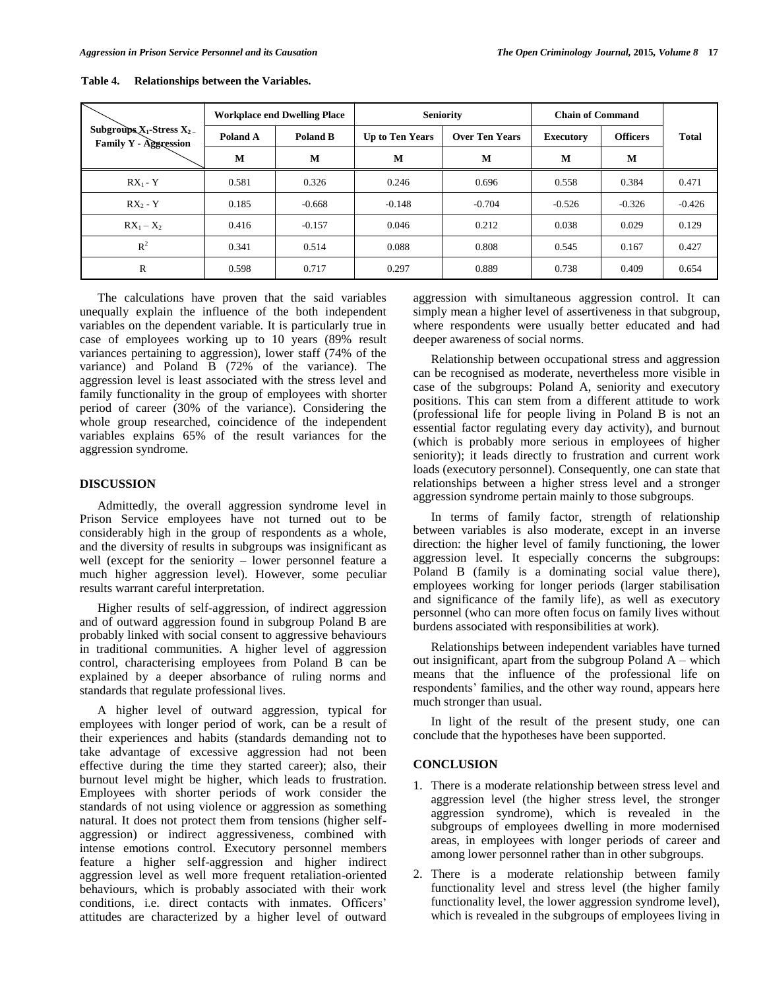|                                                                            |          | <b>Workplace end Dwelling Place</b> |                        | <b>Seniority</b>      | <b>Chain of Command</b> |                 |              |  |
|----------------------------------------------------------------------------|----------|-------------------------------------|------------------------|-----------------------|-------------------------|-----------------|--------------|--|
| Subgroups $X_1$ -Stress $X_2$ <sub>-</sub><br><b>Family Y - Aggression</b> | Poland A | Poland B                            | <b>Up to Ten Years</b> | <b>Over Ten Years</b> | <b>Executory</b>        | <b>Officers</b> | <b>Total</b> |  |
|                                                                            | M        | M                                   | M                      | M                     | M                       | M               |              |  |
| $RX_1 - Y$                                                                 | 0.581    | 0.326                               | 0.246                  | 0.696                 | 0.558                   | 0.384           | 0.471        |  |
| $RX - Y$                                                                   | 0.185    | $-0.668$                            | $-0.148$               | $-0.704$              | $-0.526$                | $-0.326$        | $-0.426$     |  |
| $RX_1 - X_2$                                                               | 0.416    | $-0.157$                            | 0.046                  | 0.212                 | 0.038                   | 0.029           | 0.129        |  |
| $R^2$                                                                      | 0.341    | 0.514                               | 0.088                  | 0.808                 | 0.545                   | 0.167           | 0.427        |  |
| $\mathbb{R}$                                                               | 0.598    | 0.717                               | 0.297                  | 0.889                 | 0.738                   | 0.409           | 0.654        |  |

**Table 4. Relationships between the Variables.**

The calculations have proven that the said variables unequally explain the influence of the both independent variables on the dependent variable. It is particularly true in case of employees working up to 10 years (89% result variances pertaining to aggression), lower staff (74% of the variance) and Poland B (72% of the variance). The aggression level is least associated with the stress level and family functionality in the group of employees with shorter period of career (30% of the variance). Considering the whole group researched, coincidence of the independent variables explains 65% of the result variances for the aggression syndrome.

#### **DISCUSSION**

Admittedly, the overall aggression syndrome level in Prison Service employees have not turned out to be considerably high in the group of respondents as a whole, and the diversity of results in subgroups was insignificant as well (except for the seniority – lower personnel feature a much higher aggression level). However, some peculiar results warrant careful interpretation.

Higher results of self-aggression, of indirect aggression and of outward aggression found in subgroup Poland B are probably linked with social consent to aggressive behaviours in traditional communities. A higher level of aggression control, characterising employees from Poland B can be explained by a deeper absorbance of ruling norms and standards that regulate professional lives.

A higher level of outward aggression, typical for employees with longer period of work, can be a result of their experiences and habits (standards demanding not to take advantage of excessive aggression had not been effective during the time they started career); also, their burnout level might be higher, which leads to frustration. Employees with shorter periods of work consider the standards of not using violence or aggression as something natural. It does not protect them from tensions (higher selfaggression) or indirect aggressiveness, combined with intense emotions control. Executory personnel members feature a higher self-aggression and higher indirect aggression level as well more frequent retaliation-oriented behaviours, which is probably associated with their work conditions, i.e. direct contacts with inmates. Officers' attitudes are characterized by a higher level of outward

aggression with simultaneous aggression control. It can simply mean a higher level of assertiveness in that subgroup, where respondents were usually better educated and had deeper awareness of social norms.

Relationship between occupational stress and aggression can be recognised as moderate, nevertheless more visible in case of the subgroups: Poland A, seniority and executory positions. This can stem from a different attitude to work (professional life for people living in Poland B is not an essential factor regulating every day activity), and burnout (which is probably more serious in employees of higher seniority); it leads directly to frustration and current work loads (executory personnel). Consequently, one can state that relationships between a higher stress level and a stronger aggression syndrome pertain mainly to those subgroups.

In terms of family factor, strength of relationship between variables is also moderate, except in an inverse direction: the higher level of family functioning, the lower aggression level. It especially concerns the subgroups: Poland B (family is a dominating social value there), employees working for longer periods (larger stabilisation and significance of the family life), as well as executory personnel (who can more often focus on family lives without burdens associated with responsibilities at work).

Relationships between independent variables have turned out insignificant, apart from the subgroup Poland A – which means that the influence of the professional life on respondents' families, and the other way round, appears here much stronger than usual.

In light of the result of the present study, one can conclude that the hypotheses have been supported.

#### **CONCLUSION**

- 1. There is a moderate relationship between stress level and aggression level (the higher stress level, the stronger aggression syndrome), which is revealed in the subgroups of employees dwelling in more modernised areas, in employees with longer periods of career and among lower personnel rather than in other subgroups.
- 2. There is a moderate relationship between family functionality level and stress level (the higher family functionality level, the lower aggression syndrome level), which is revealed in the subgroups of employees living in